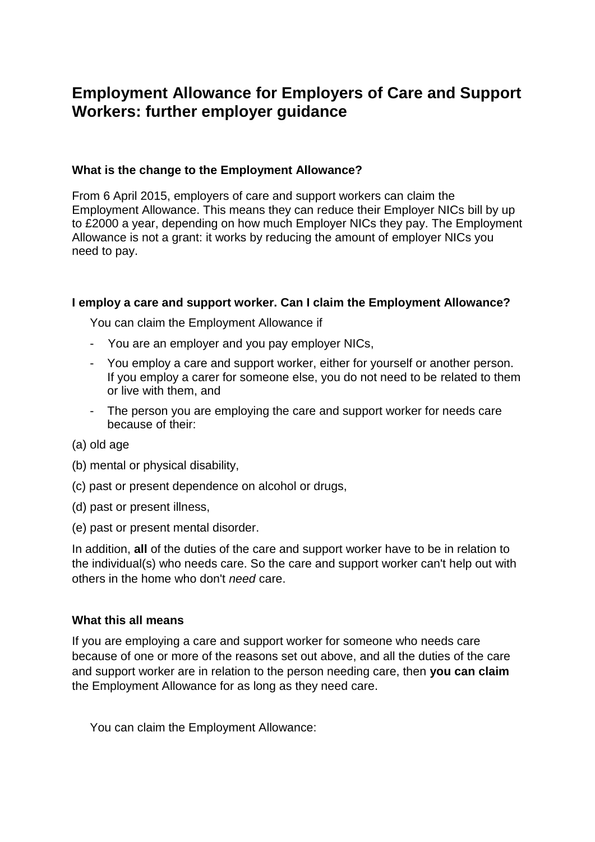# **Employment Allowance for Employers of Care and Support Workers: further employer guidance**

# **What is the change to the Employment Allowance?**

From 6 April 2015, employers of care and support workers can claim the Employment Allowance. This means they can reduce their Employer NICs bill by up to £2000 a year, depending on how much Employer NICs they pay. The Employment Allowance is not a grant: it works by reducing the amount of employer NICs you need to pay.

## **I employ a care and support worker. Can I claim the Employment Allowance?**

You can claim the Employment Allowance if

- You are an employer and you pay employer NICs,
- You employ a care and support worker, either for yourself or another person. If you employ a carer for someone else, you do not need to be related to them or live with them, and
- The person you are employing the care and support worker for needs care because of their:
- (a) old age
- (b) mental or physical disability,
- (c) past or present dependence on alcohol or drugs,
- (d) past or present illness,
- (e) past or present mental disorder.

In addition, **all** of the duties of the care and support worker have to be in relation to the individual(s) who needs care. So the care and support worker can't help out with others in the home who don't *need* care.

## **What this all means**

If you are employing a care and support worker for someone who needs care because of one or more of the reasons set out above, and all the duties of the care and support worker are in relation to the person needing care, then **you can claim** the Employment Allowance for as long as they need care.

You can claim the Employment Allowance: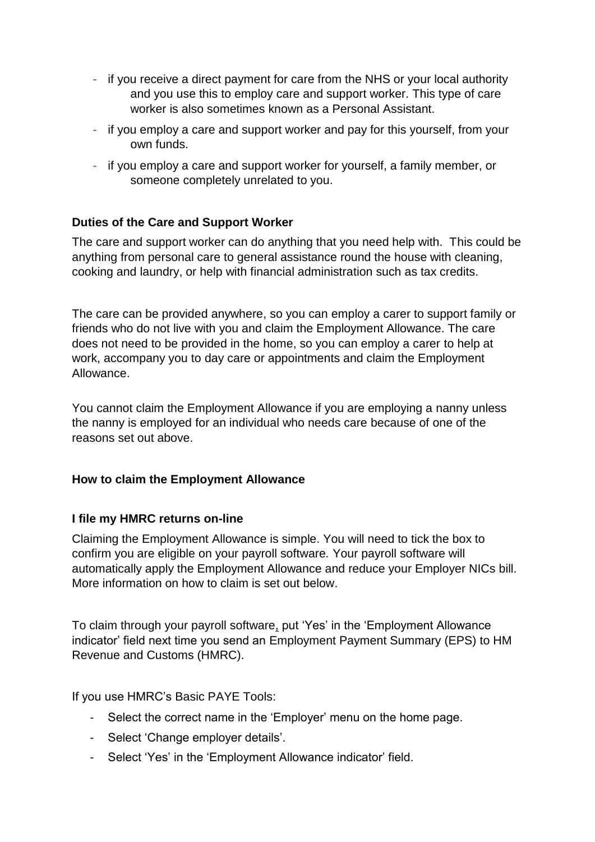- if you receive a direct payment for care from the NHS or your local authority and you use this to employ care and support worker. This type of care worker is also sometimes known as a Personal Assistant.
- if you employ a care and support worker and pay for this yourself, from your own funds.
- if you employ a care and support worker for yourself, a family member, or someone completely unrelated to you.

# **Duties of the Care and Support Worker**

The care and support worker can do anything that you need help with. This could be anything from personal care to general assistance round the house with cleaning, cooking and laundry, or help with financial administration such as tax credits.

The care can be provided anywhere, so you can employ a carer to support family or friends who do not live with you and claim the Employment Allowance. The care does not need to be provided in the home, so you can employ a carer to help at work, accompany you to day care or appointments and claim the Employment Allowance.

You cannot claim the Employment Allowance if you are employing a nanny unless the nanny is employed for an individual who needs care because of one of the reasons set out above.

## **How to claim the Employment Allowance**

## **I file my HMRC returns on-line**

Claiming the Employment Allowance is simple. You will need to tick the box to confirm you are eligible on your payroll software*.* Your payroll software will automatically apply the Employment Allowance and reduce your Employer NICs bill. More information on how to claim is set out below

To claim through your payroll software, put 'Yes' in the 'Employment Allowance indicator' field next time you send an Employment Payment Summary (EPS) to HM Revenue and Customs (HMRC).

If you use HMRC's Basic PAYE Tools:

- Select the correct name in the 'Employer' menu on the home page.
- Select 'Change employer details'.
- Select 'Yes' in the 'Employment Allowance indicator' field.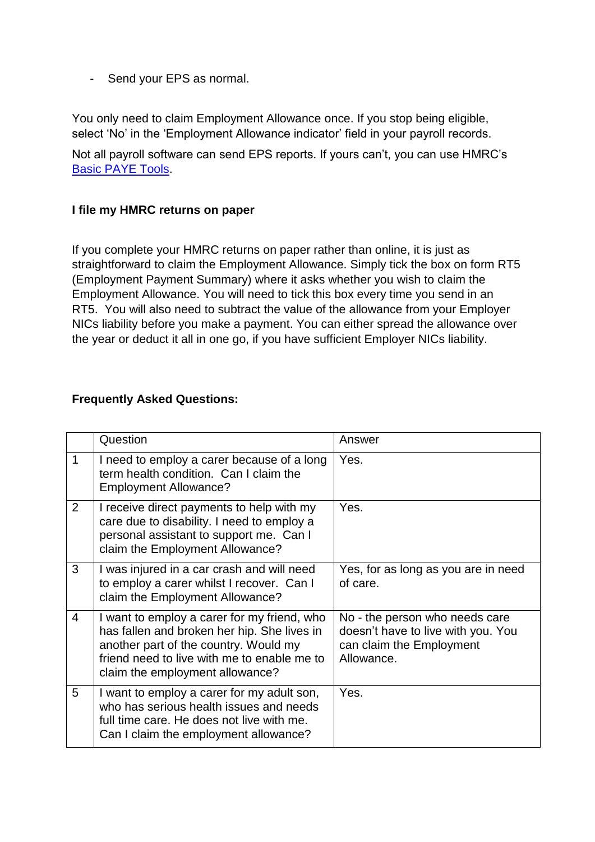- Send your EPS as normal.

You only need to claim Employment Allowance once. If you stop being eligible, select 'No' in the 'Employment Allowance indicator' field in your payroll records.

Not all payroll software can send EPS reports. If yours can't, you can use HMRC's [Basic PAYE Tools.](https://www.gov.uk/basic-paye-tools)

## **I file my HMRC returns on paper**

If you complete your HMRC returns on paper rather than online, it is just as straightforward to claim the Employment Allowance. Simply tick the box on form RT5 (Employment Payment Summary) where it asks whether you wish to claim the Employment Allowance. You will need to tick this box every time you send in an RT5. You will also need to subtract the value of the allowance from your Employer NICs liability before you make a payment. You can either spread the allowance over the year or deduct it all in one go, if you have sufficient Employer NICs liability.

## **Frequently Asked Questions:**

|                | Question                                                                                                                                                                                                              | Answer                                                                                                         |
|----------------|-----------------------------------------------------------------------------------------------------------------------------------------------------------------------------------------------------------------------|----------------------------------------------------------------------------------------------------------------|
| 1              | I need to employ a carer because of a long<br>term health condition. Can I claim the<br><b>Employment Allowance?</b>                                                                                                  | Yes.                                                                                                           |
| 2              | I receive direct payments to help with my<br>care due to disability. I need to employ a<br>personal assistant to support me. Can I<br>claim the Employment Allowance?                                                 | Yes.                                                                                                           |
| 3              | I was injured in a car crash and will need<br>to employ a carer whilst I recover. Can I<br>claim the Employment Allowance?                                                                                            | Yes, for as long as you are in need<br>of care.                                                                |
| $\overline{4}$ | I want to employ a carer for my friend, who<br>has fallen and broken her hip. She lives in<br>another part of the country. Would my<br>friend need to live with me to enable me to<br>claim the employment allowance? | No - the person who needs care<br>doesn't have to live with you. You<br>can claim the Employment<br>Allowance. |
| 5              | I want to employ a carer for my adult son,<br>who has serious health issues and needs<br>full time care. He does not live with me.<br>Can I claim the employment allowance?                                           | Yes.                                                                                                           |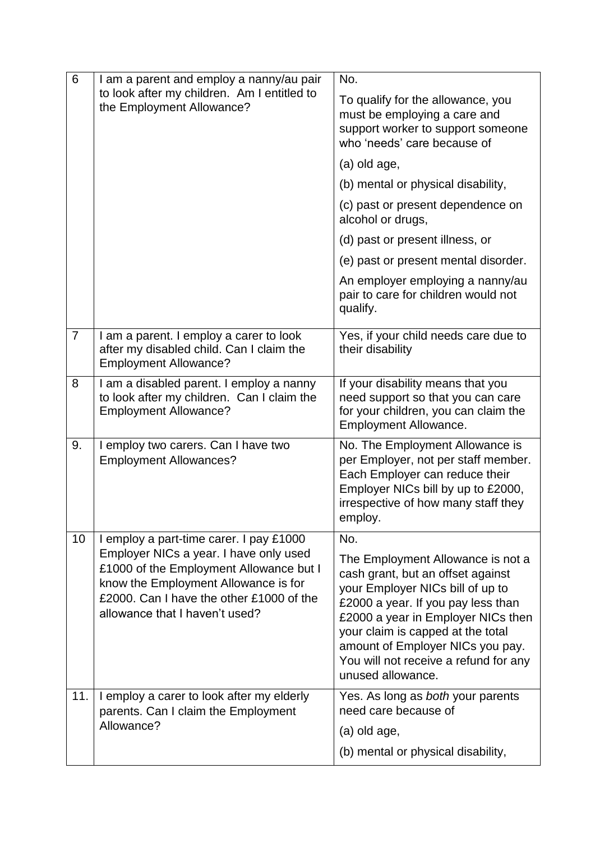| 6              | I am a parent and employ a nanny/au pair<br>to look after my children. Am I entitled to<br>the Employment Allowance?                                                                                    | No.                                                                                                                                                                                                                                                                                                                           |
|----------------|---------------------------------------------------------------------------------------------------------------------------------------------------------------------------------------------------------|-------------------------------------------------------------------------------------------------------------------------------------------------------------------------------------------------------------------------------------------------------------------------------------------------------------------------------|
|                |                                                                                                                                                                                                         | To qualify for the allowance, you<br>must be employing a care and<br>support worker to support someone<br>who 'needs' care because of                                                                                                                                                                                         |
|                |                                                                                                                                                                                                         | (a) old age,                                                                                                                                                                                                                                                                                                                  |
|                |                                                                                                                                                                                                         | (b) mental or physical disability,                                                                                                                                                                                                                                                                                            |
|                |                                                                                                                                                                                                         | (c) past or present dependence on<br>alcohol or drugs,                                                                                                                                                                                                                                                                        |
|                |                                                                                                                                                                                                         | (d) past or present illness, or                                                                                                                                                                                                                                                                                               |
|                |                                                                                                                                                                                                         | (e) past or present mental disorder.                                                                                                                                                                                                                                                                                          |
|                |                                                                                                                                                                                                         | An employer employing a nanny/au<br>pair to care for children would not<br>qualify.                                                                                                                                                                                                                                           |
| $\overline{7}$ | I am a parent. I employ a carer to look<br>after my disabled child. Can I claim the<br><b>Employment Allowance?</b>                                                                                     | Yes, if your child needs care due to<br>their disability                                                                                                                                                                                                                                                                      |
| 8              | I am a disabled parent. I employ a nanny<br>to look after my children. Can I claim the<br><b>Employment Allowance?</b>                                                                                  | If your disability means that you<br>need support so that you can care<br>for your children, you can claim the<br>Employment Allowance.                                                                                                                                                                                       |
| 9.             | I employ two carers. Can I have two<br><b>Employment Allowances?</b>                                                                                                                                    | No. The Employment Allowance is<br>per Employer, not per staff member.<br>Each Employer can reduce their<br>Employer NICs bill by up to £2000,<br>irrespective of how many staff they<br>employ.                                                                                                                              |
| 10             | I employ a part-time carer. I pay £1000                                                                                                                                                                 | No.                                                                                                                                                                                                                                                                                                                           |
|                | Employer NICs a year. I have only used<br>£1000 of the Employment Allowance but I<br>know the Employment Allowance is for<br>£2000. Can I have the other £1000 of the<br>allowance that I haven't used? | The Employment Allowance is not a<br>cash grant, but an offset against<br>your Employer NICs bill of up to<br>£2000 a year. If you pay less than<br>£2000 a year in Employer NICs then<br>your claim is capped at the total<br>amount of Employer NICs you pay.<br>You will not receive a refund for any<br>unused allowance. |
| 11.            | I employ a carer to look after my elderly<br>parents. Can I claim the Employment<br>Allowance?                                                                                                          | Yes. As long as both your parents<br>need care because of<br>(a) old age,<br>(b) mental or physical disability,                                                                                                                                                                                                               |